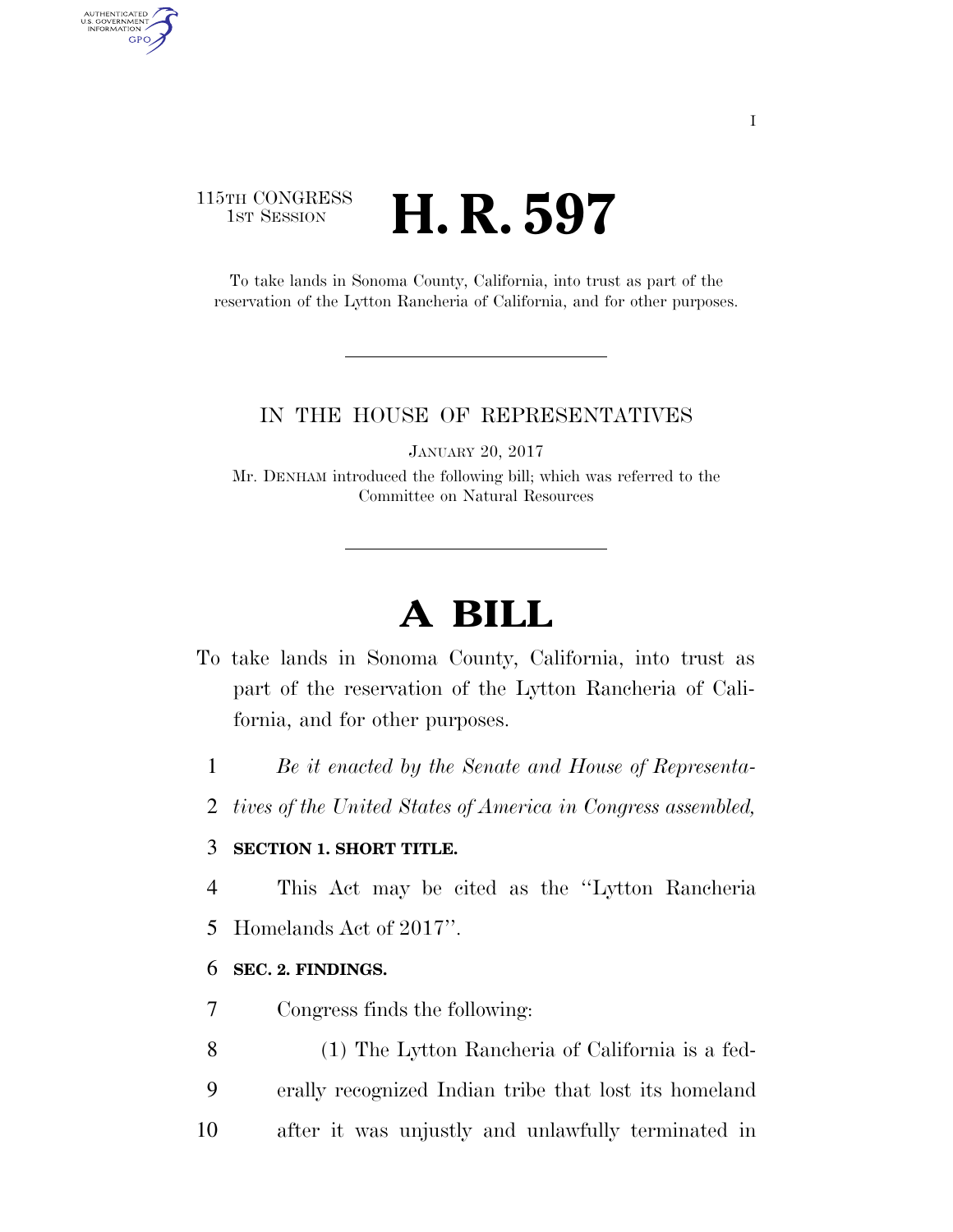## 115TH CONGRESS **1st Session H. R. 597**

AUTHENTICATED<br>U.S. GOVERNMENT<br>INFORMATION

**GPO** 

To take lands in Sonoma County, California, into trust as part of the reservation of the Lytton Rancheria of California, and for other purposes.

#### IN THE HOUSE OF REPRESENTATIVES

JANUARY 20, 2017

Mr. DENHAM introduced the following bill; which was referred to the Committee on Natural Resources

# **A BILL**

- To take lands in Sonoma County, California, into trust as part of the reservation of the Lytton Rancheria of California, and for other purposes.
	- 1 *Be it enacted by the Senate and House of Representa-*
	- 2 *tives of the United States of America in Congress assembled,*

#### 3 **SECTION 1. SHORT TITLE.**

4 This Act may be cited as the ''Lytton Rancheria

5 Homelands Act of 2017''.

#### 6 **SEC. 2. FINDINGS.**

- 7 Congress finds the following:
- 8 (1) The Lytton Rancheria of California is a fed-9 erally recognized Indian tribe that lost its homeland 10 after it was unjustly and unlawfully terminated in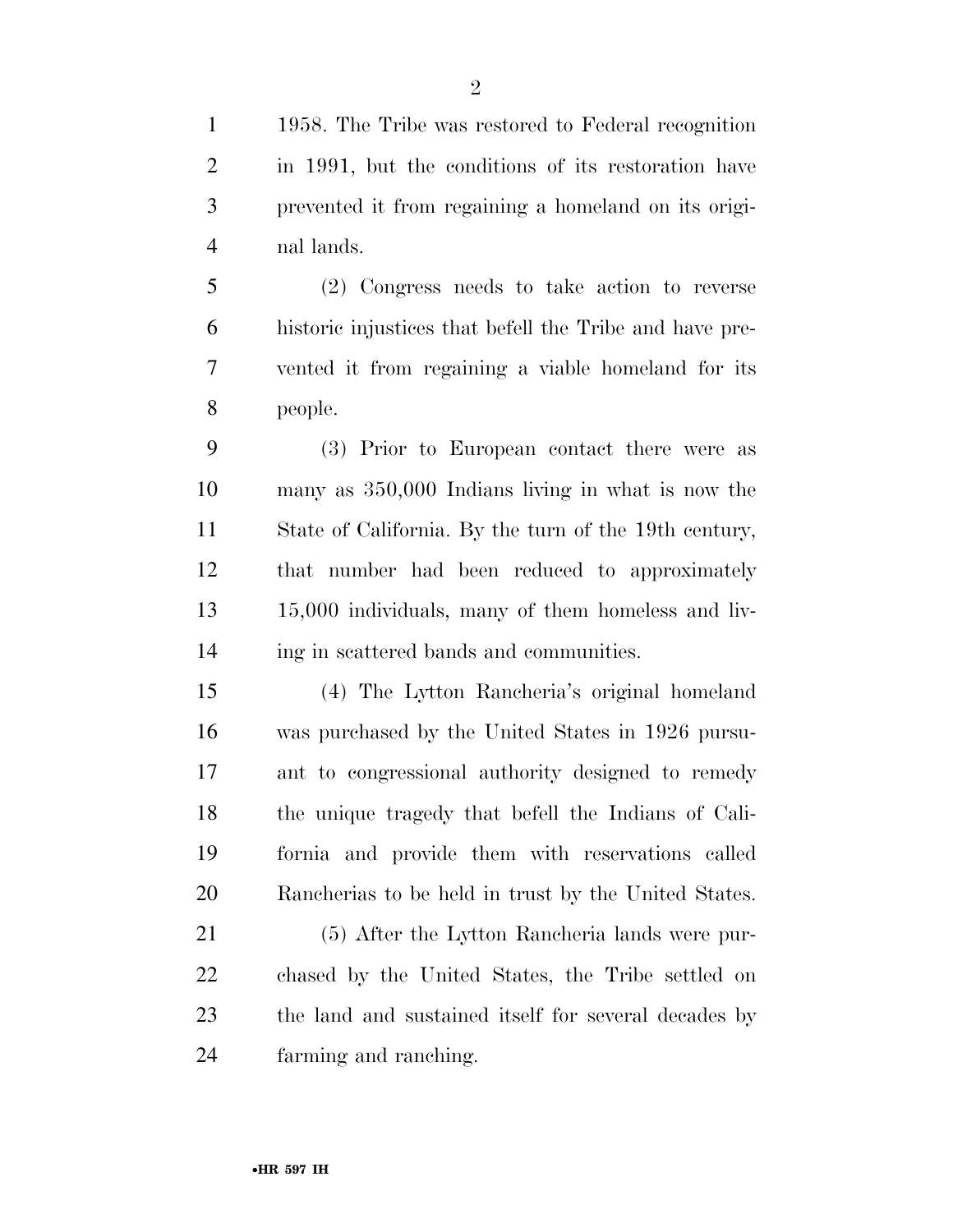1958. The Tribe was restored to Federal recognition in 1991, but the conditions of its restoration have prevented it from regaining a homeland on its origi-nal lands.

 (2) Congress needs to take action to reverse historic injustices that befell the Tribe and have pre- vented it from regaining a viable homeland for its people.

 (3) Prior to European contact there were as many as 350,000 Indians living in what is now the State of California. By the turn of the 19th century, that number had been reduced to approximately 15,000 individuals, many of them homeless and liv-ing in scattered bands and communities.

 (4) The Lytton Rancheria's original homeland was purchased by the United States in 1926 pursu- ant to congressional authority designed to remedy the unique tragedy that befell the Indians of Cali- fornia and provide them with reservations called Rancherias to be held in trust by the United States.

 (5) After the Lytton Rancheria lands were pur- chased by the United States, the Tribe settled on the land and sustained itself for several decades by farming and ranching.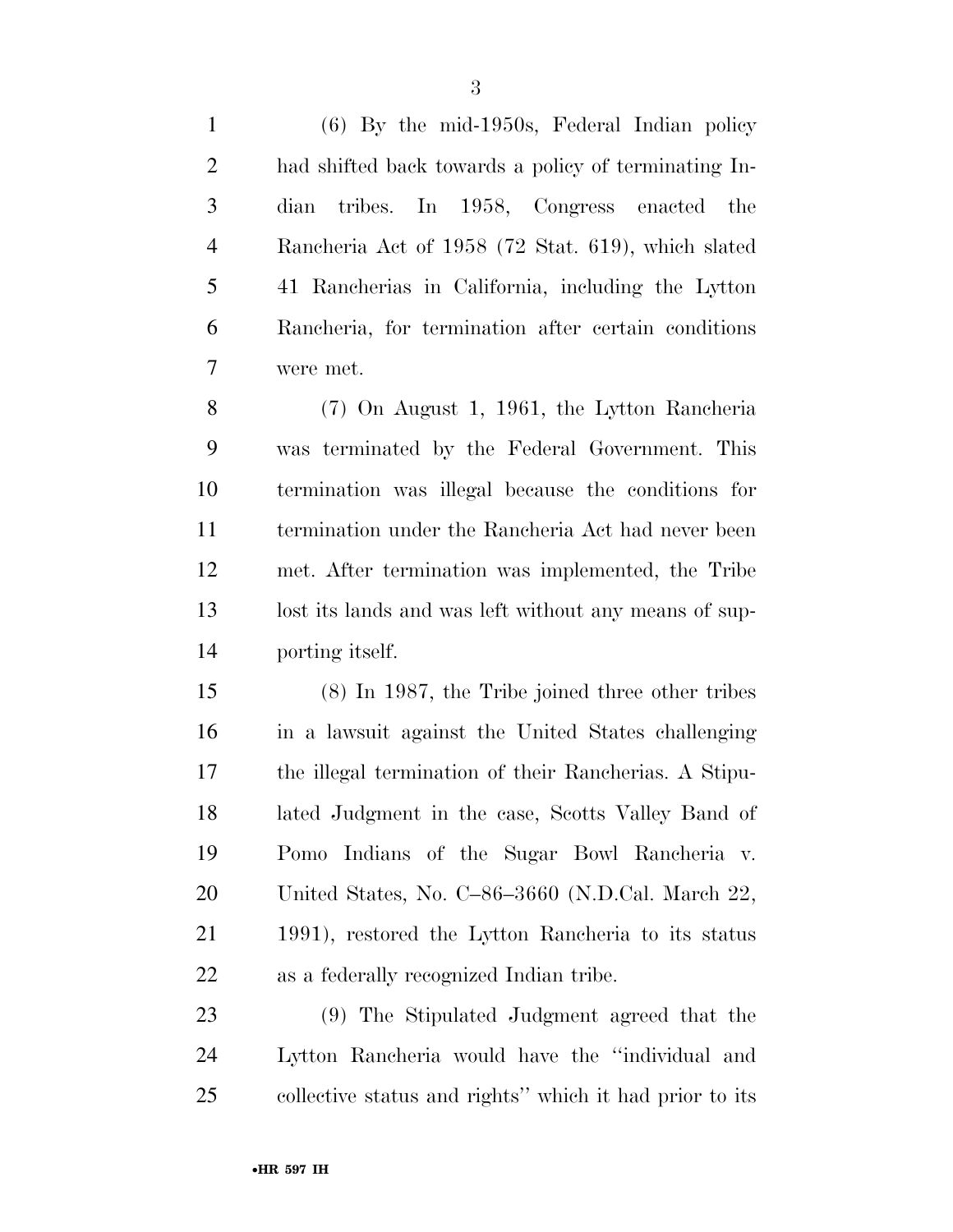(6) By the mid-1950s, Federal Indian policy had shifted back towards a policy of terminating In- dian tribes. In 1958, Congress enacted the Rancheria Act of 1958 (72 Stat. 619), which slated 41 Rancherias in California, including the Lytton Rancheria, for termination after certain conditions were met.

 (7) On August 1, 1961, the Lytton Rancheria was terminated by the Federal Government. This termination was illegal because the conditions for termination under the Rancheria Act had never been met. After termination was implemented, the Tribe 13 lost its lands and was left without any means of sup-porting itself.

 (8) In 1987, the Tribe joined three other tribes in a lawsuit against the United States challenging the illegal termination of their Rancherias. A Stipu- lated Judgment in the case, Scotts Valley Band of Pomo Indians of the Sugar Bowl Rancheria v. United States, No. C–86–3660 (N.D.Cal. March 22, 1991), restored the Lytton Rancheria to its status as a federally recognized Indian tribe.

 (9) The Stipulated Judgment agreed that the Lytton Rancheria would have the ''individual and collective status and rights'' which it had prior to its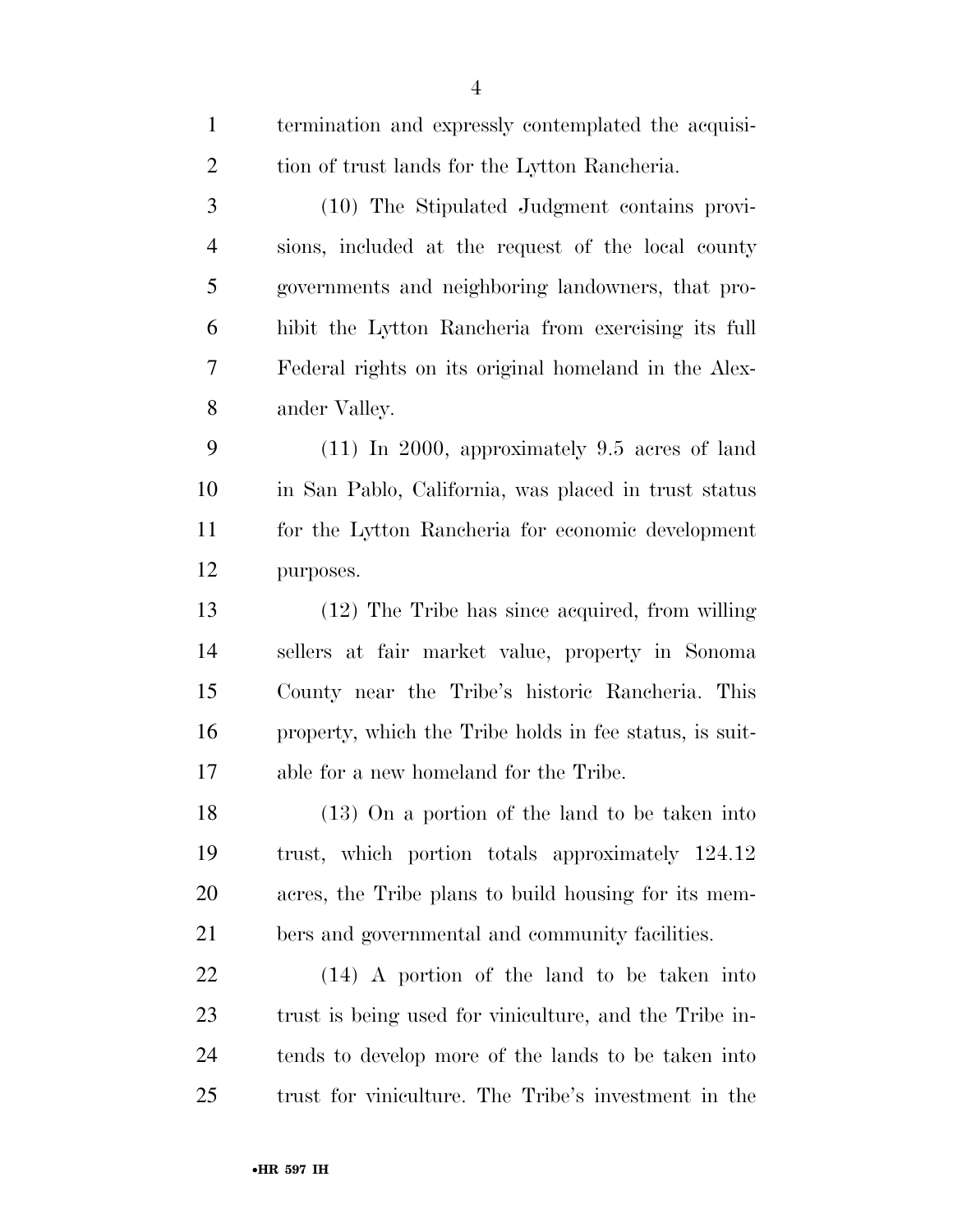| $\mathbf{1}$   | termination and expressly contemplated the acquisi-     |
|----------------|---------------------------------------------------------|
| $\overline{2}$ | tion of trust lands for the Lytton Rancheria.           |
| 3              | (10) The Stipulated Judgment contains provi-            |
| $\overline{4}$ | sions, included at the request of the local county      |
| 5              | governments and neighboring landowners, that pro-       |
| 6              | hibit the Lytton Rancheria from exercising its full     |
| 7              | Federal rights on its original homeland in the Alex-    |
| 8              | ander Valley.                                           |
| 9              | $(11)$ In 2000, approximately 9.5 acres of land         |
| 10             | in San Pablo, California, was placed in trust status    |
| 11             | for the Lytton Rancheria for economic development       |
| 12             | purposes.                                               |
| 13             | $(12)$ The Tribe has since acquired, from willing       |
| 14             | sellers at fair market value, property in Sonoma        |
| 15             | County near the Tribe's historic Rancheria. This        |
| 16             | property, which the Tribe holds in fee status, is suit- |
| 17             | able for a new homeland for the Tribe.                  |
| 18             | $(13)$ On a portion of the land to be taken into        |
| 19             | trust, which portion totals approximately 124.12        |
| 20             | acres, the Tribe plans to build housing for its mem-    |
| 21             | bers and governmental and community facilities.         |
| 22             | $(14)$ A portion of the land to be taken into           |
| 23             | trust is being used for viniculture, and the Tribe in-  |
| 24             | tends to develop more of the lands to be taken into     |
| 25             | trust for viniculture. The Tribe's investment in the    |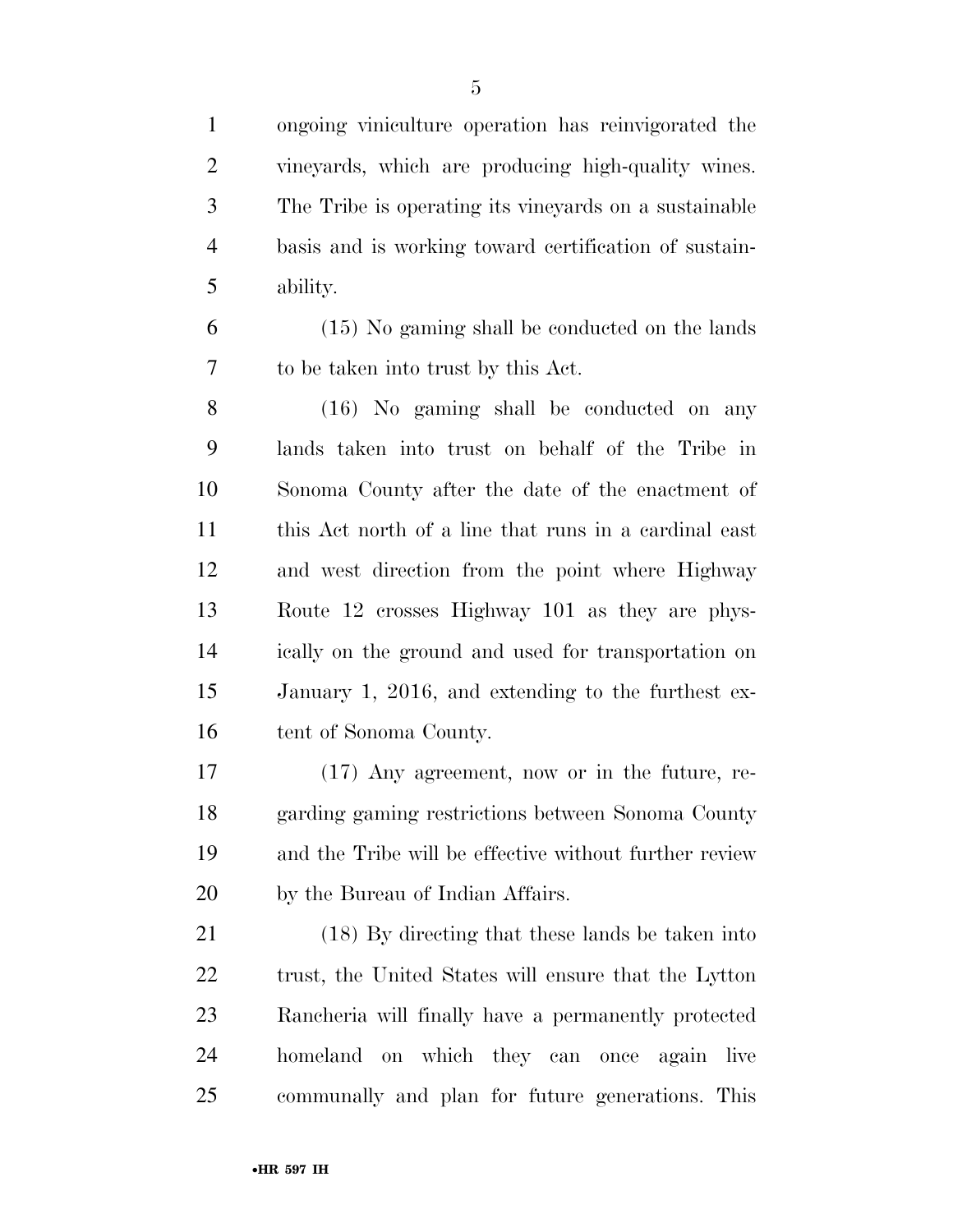ongoing viniculture operation has reinvigorated the vineyards, which are producing high-quality wines. The Tribe is operating its vineyards on a sustainable basis and is working toward certification of sustain-ability.

 (15) No gaming shall be conducted on the lands to be taken into trust by this Act.

 (16) No gaming shall be conducted on any lands taken into trust on behalf of the Tribe in Sonoma County after the date of the enactment of this Act north of a line that runs in a cardinal east and west direction from the point where Highway Route 12 crosses Highway 101 as they are phys- ically on the ground and used for transportation on January 1, 2016, and extending to the furthest ex-16 tent of Sonoma County.

 (17) Any agreement, now or in the future, re- garding gaming restrictions between Sonoma County and the Tribe will be effective without further review by the Bureau of Indian Affairs.

 (18) By directing that these lands be taken into 22 trust, the United States will ensure that the Lytton Rancheria will finally have a permanently protected homeland on which they can once again live communally and plan for future generations. This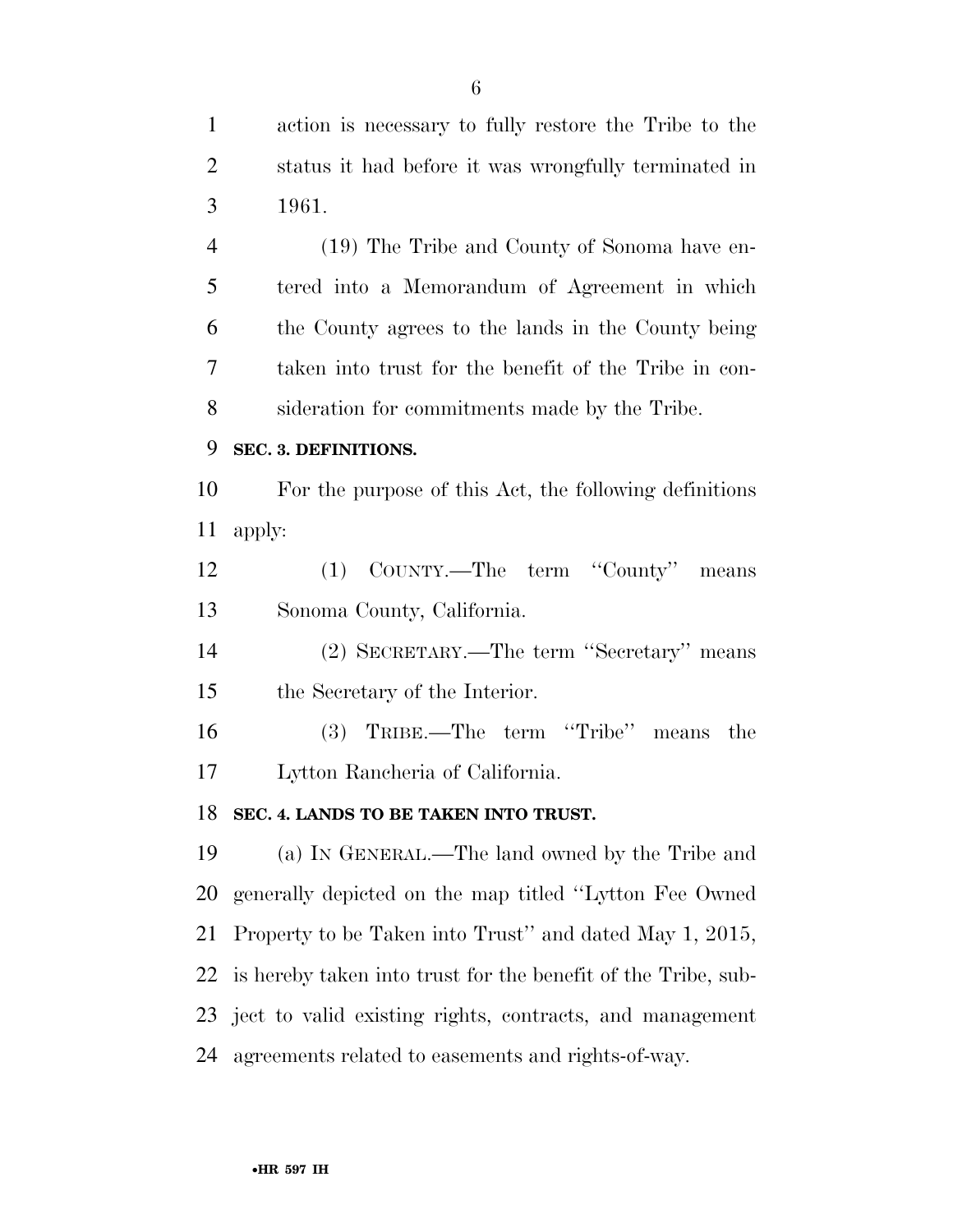action is necessary to fully restore the Tribe to the status it had before it was wrongfully terminated in 1961. (19) The Tribe and County of Sonoma have en-

 tered into a Memorandum of Agreement in which the County agrees to the lands in the County being taken into trust for the benefit of the Tribe in con-sideration for commitments made by the Tribe.

#### **SEC. 3. DEFINITIONS.**

 For the purpose of this Act, the following definitions apply:

 (1) COUNTY.—The term ''County'' means Sonoma County, California.

 (2) SECRETARY.—The term ''Secretary'' means the Secretary of the Interior.

 (3) TRIBE.—The term ''Tribe'' means the Lytton Rancheria of California.

#### **SEC. 4. LANDS TO BE TAKEN INTO TRUST.**

 (a) IN GENERAL.—The land owned by the Tribe and generally depicted on the map titled ''Lytton Fee Owned Property to be Taken into Trust'' and dated May 1, 2015, is hereby taken into trust for the benefit of the Tribe, sub- ject to valid existing rights, contracts, and management agreements related to easements and rights-of-way.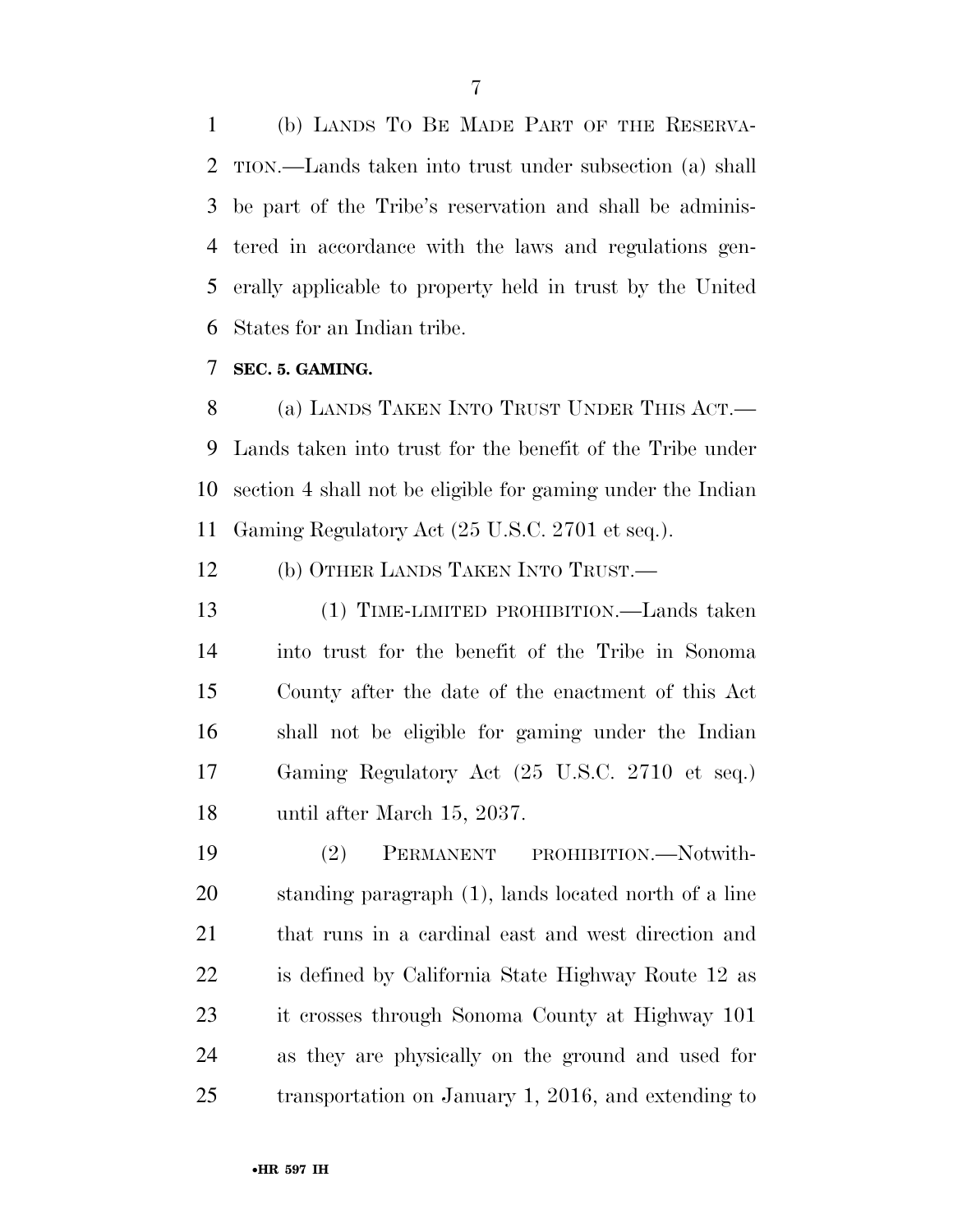(b) LANDS TO BE MADE PART OF THE RESERVA- TION.—Lands taken into trust under subsection (a) shall be part of the Tribe's reservation and shall be adminis- tered in accordance with the laws and regulations gen- erally applicable to property held in trust by the United States for an Indian tribe.

**SEC. 5. GAMING.** 

 (a) LANDS TAKEN INTO TRUST UNDER THIS ACT.— Lands taken into trust for the benefit of the Tribe under section 4 shall not be eligible for gaming under the Indian Gaming Regulatory Act (25 U.S.C. 2701 et seq.).

(b) OTHER LANDS TAKEN INTO TRUST.—

 (1) TIME-LIMITED PROHIBITION.—Lands taken into trust for the benefit of the Tribe in Sonoma County after the date of the enactment of this Act shall not be eligible for gaming under the Indian Gaming Regulatory Act (25 U.S.C. 2710 et seq.) until after March 15, 2037.

 (2) PERMANENT PROHIBITION.—Notwith- standing paragraph (1), lands located north of a line that runs in a cardinal east and west direction and is defined by California State Highway Route 12 as it crosses through Sonoma County at Highway 101 as they are physically on the ground and used for transportation on January 1, 2016, and extending to